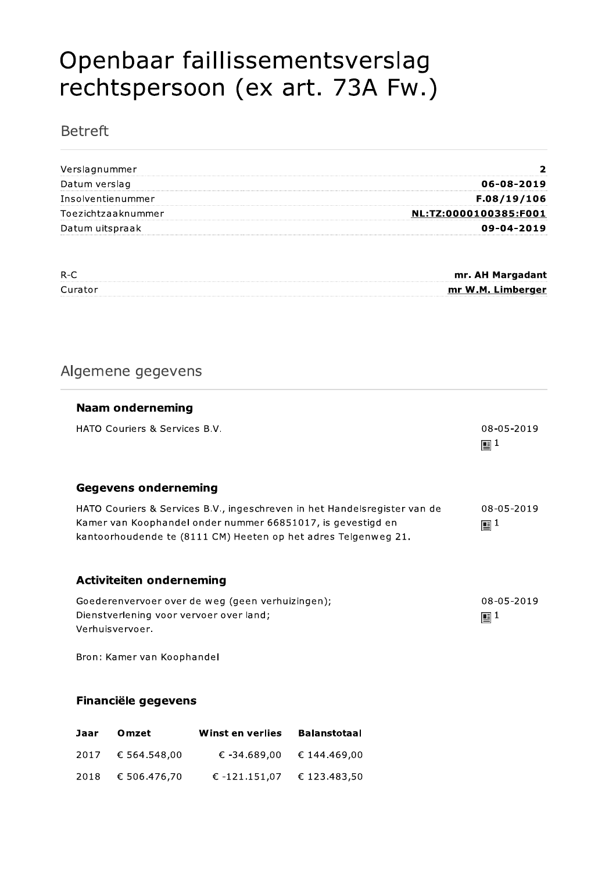# Openbaar faillissementsverslag rechtspersoon (ex art. 73A Fw.)

# **Betreft**

| Verslagnummer      |                       |
|--------------------|-----------------------|
| Datum verslag      | 06-08-2019            |
| Insolventienummer  | F.08/19/106           |
| Toezichtzaaknummer | NL:TZ:0000100385:F001 |
| Datum uitspraak    | 09-04-2019            |

| $R-C$   | mr. AH Margadant  |
|---------|-------------------|
| Curator | mr W.M. Limberger |
|         |                   |

# Algemene gegevens

| <b>Naam onderneming</b>                                                                                                                                                                                    |                              |
|------------------------------------------------------------------------------------------------------------------------------------------------------------------------------------------------------------|------------------------------|
| <b>HATO Couriers &amp; Services B.V.</b>                                                                                                                                                                   | 08-05-2019<br>$\mathbb{E}^1$ |
| <b>Gegevens onderneming</b>                                                                                                                                                                                |                              |
| HATO Couriers & Services B.V., ingeschreven in het Handelsregister van de<br>Kamer van Koophandel onder nummer 66851017, is gevestigd en<br>kantoorhoudende te (8111 CM) Heeten op het adres Telgenweg 21. | 08-05-2019<br>$\mathbb{E}^1$ |
| <b>Activiteiten onderneming</b>                                                                                                                                                                            |                              |
| Goederenvervoer over de weg (geen verhuizingen);<br>Dienstverlening voor vervoer over land;<br>Verhuisvervoer.                                                                                             | 08-05-2019<br>$\mathbb{E}^1$ |
| Bron: Kamer van Koophandel                                                                                                                                                                                 |                              |

#### Financiële gegevens

| Jaar | Omzet        | Winst en verlies | <b>Balanstotaal</b> |
|------|--------------|------------------|---------------------|
| 2017 | € 564.548,00 | € -34.689.00     | € 144.469,00        |
| 2018 | € 506.476.70 | € -121.151.07    | € 123.483.50        |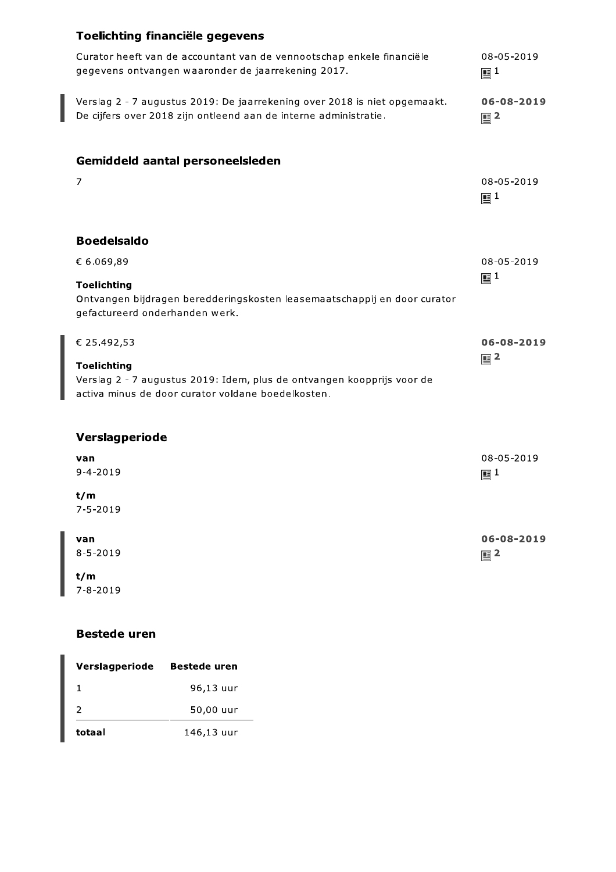# Toelichting financiële gegevens

| Curator heeft van de accountant van de vennootschap enkele financiële<br>gegevens ontvangen waaronder de jaarrekening 2017.                                          | 08-05-2019<br>$\mathbb{E}^1$       |
|----------------------------------------------------------------------------------------------------------------------------------------------------------------------|------------------------------------|
| Verslag 2 - 7 augustus 2019: De jaarrekening over 2018 is niet opgemaakt.<br>De cijfers over 2018 zijn ontleend aan de interne administratie.                        | 06-08-2019<br>$\mathbb{E}^2$       |
| Gemiddeld aantal personeelsleden<br>7                                                                                                                                | 08-05-2019<br>$\mathbb{E}^1$       |
| <b>Boedelsaldo</b><br>€ 6.069,89<br><b>Toelichting</b><br>Ontvangen bijdragen beredderingskosten leasemaatschappij en door curator<br>gefactureerd onderhanden werk. | 08-05-2019<br>$\mathbb{E}^1$       |
| € 25.492,53<br><b>Toelichting</b><br>Verslag 2 - 7 augustus 2019: Idem, plus de ontvangen koopprijs voor de<br>activa minus de door curator voldane boedelkosten.    | $06 - 08 - 2019$<br>$\mathbb{E}^2$ |
| Verslagperiode<br>van<br>$9 - 4 - 2019$<br>t/m                                                                                                                       | 08-05-2019<br>$\mathbb{E}^1$       |

 $7 - 5 - 2019$ 

| van            | $06 - 08 - 2019$ |
|----------------|------------------|
| $8 - 5 - 2019$ | $\mathbf{E}^2$   |
| $ -$           |                  |

 $t/m$  $7 - 8 - 2019$ 

### **Bestede uren**

| Verslagperiode | <b>Bestede uren</b> |
|----------------|---------------------|
|                | 96,13 uur           |
| 2              | 50,00 uur           |
| totaal         | 146,13 uur          |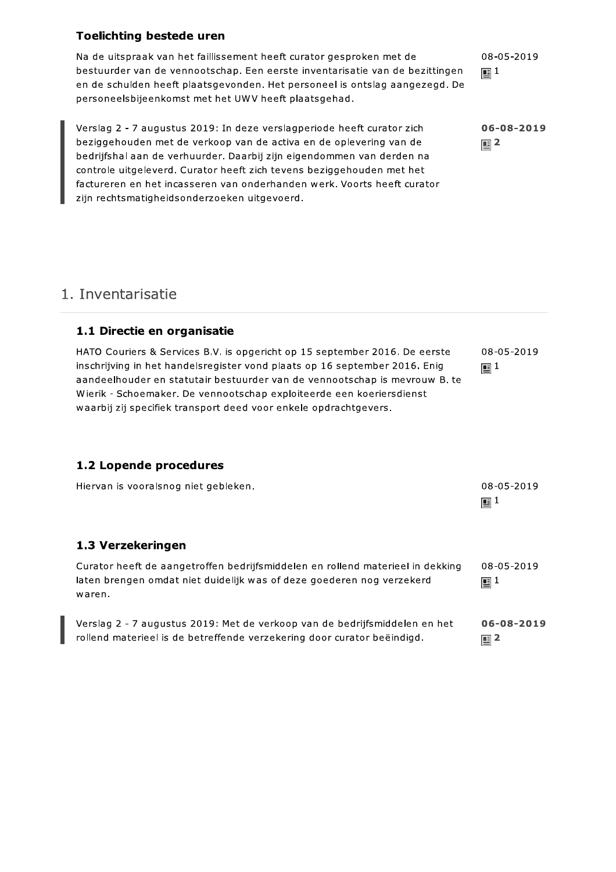#### **Toelichting bestede uren**

Na de uitspraak van het faillissement heeft curator gesproken met de bestuurder van de vennootschap. Een eerste inventarisatie van de bezittingen en de schulden heeft plaatsgevonden. Het personeel is ontslag aangezegd. De personeelsbijeenkomst met het UWV heeft plaatsgehad.

Verslag 2 - 7 augustus 2019: In deze verslagperiode heeft curator zich beziggehouden met de verkoop van de activa en de oplevering van de bedrijfshal aan de verhuurder. Daarbij zijn eigendommen van derden na controle uitgeleverd. Curator heeft zich tevens beziggehouden met het factureren en het incasseren van onderhanden werk. Voorts heeft curator zijn rechtsmatigheidsonderzoeken uitgevoerd.

08-05-2019  $\mathbf{E}^{1}$ 

06-08-2019  $\mathbb{E}$  2

# 1. Inventarisatie

#### 1.1 Directie en organisatie

HATO Couriers & Services B.V. is opgericht op 15 september 2016. De eerste inschrijving in het handelsregister vond plaats op 16 september 2016. Enig aandeelhouder en statutair bestuurder van de vennootschap is mevrouw B. te Wierik - Schoemaker. De vennootschap exploiteerde een koeriersdienst waarbij zij specifiek transport deed voor enkele opdrachtgevers.

#### 1.2 Lopende procedures

| Hiervan is vooralsnog niet gebleken.                                                                                                                              | 08-05-2019<br>$\mathbf{E}^{1}$ |
|-------------------------------------------------------------------------------------------------------------------------------------------------------------------|--------------------------------|
| 1.3 Verzekeringen                                                                                                                                                 |                                |
| Curator heeft de aangetroffen bedrijfsmiddelen en rollend materieel in dekking<br>laten brengen omdat niet duidelijk was of deze goederen nog verzekerd<br>waren. | 08-05-2019<br>$\mathbb{E}^1$   |

Verslag 2 - 7 augustus 2019: Met de verkoop van de bedrijfsmiddelen en het 06-08-2019 rollend materieel is de betreffende verzekering door curator beëindigd.  $\mathbf{E}$  2

08-05-2019  $\mathbf{E}^{1}$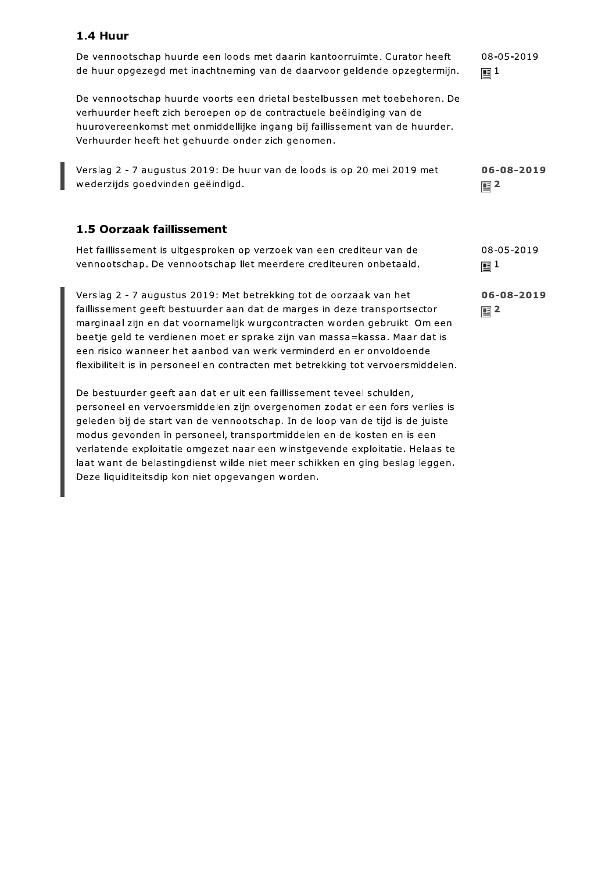#### 1.4 Huur

De vennootschap huurde een loods met daarin kantoorruimte. Curator heeft de huur opgezegd met inachtneming van de daarvoor geldende opzegtermijn.

De vennootschap huurde voorts een drietal bestelbussen met toebehoren. De verhuurder heeft zich beroepen op de contractuele beëindiging van de huurovereenkomst met onmiddellijke ingang bij faillissement van de huurder. Verhuurder heeft het gehuurde onder zich genomen.

Verslag 2 - 7 augustus 2019: De huur van de loods is op 20 mei 2019 met wederzijds goedvinden geëindigd.

#### 1.5 Oorzaak faillissement

Het faillissement is uitgesproken op verzoek van een crediteur van de vennootschap. De vennootschap liet meerdere crediteuren onbetaald.

Verslag 2 - 7 augustus 2019: Met betrekking tot de oorzaak van het faillissement geeft bestuurder aan dat de marges in deze transportsector marginaal zijn en dat voornamelijk wurgcontracten worden gebruikt. Om een beetie geld te verdienen moet er sprake zijn van massa=kassa. Maar dat is een risico wanneer het aanbod van werk verminderd en er onvoldoende flexibiliteit is in personeel en contracten met betrekking tot vervoersmiddelen.

De bestuurder geeft aan dat er uit een faillissement teveel schulden, personeel en vervoersmiddelen zijn overgenomen zodat er een fors verlies is geleden bij de start van de vennootschap. In de loop van de tijd is de juiste modus gevonden in personeel, transportmiddelen en de kosten en is een verlatende exploitatie omgezet naar een winstgevende exploitatie. Helaas te laat want de belastingdienst wilde niet meer schikken en ging beslag leggen. Deze liquiditeitsdip kon niet opgevangen worden.

08-05-2019  $\mathbf{E}^{1}$ 

06-08-2019  $\mathbb{E}$  2

08-05-2019  $\mathbf{E}^{1}$ 

06-08-2019  $\mathbf{E}$  2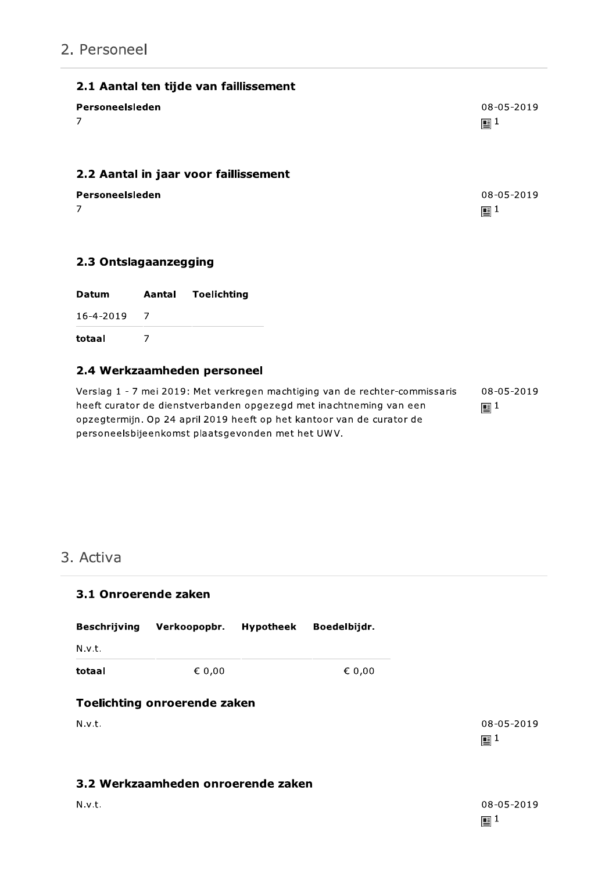# 2. Personeel

| 2.1 Aantal ten tijde van faillissement |                |
|----------------------------------------|----------------|
| Personeelsleden                        | 08-05-2019     |
| $\overline{7}$                         | $\mathbb{E}^1$ |
| 2.2 Aantal in jaar voor faillissement  |                |
| Personeelsleden                        | 08-05-2019     |
| $\overline{7}$                         | $\mathbb{E}^1$ |

#### 2.3 Ontslagaanzegging

| Datum             | Aantal | Toelichting                 |
|-------------------|--------|-----------------------------|
| $16 - 4 - 2019$ 7 |        |                             |
| totaal            |        |                             |
|                   |        | 2.4 Werkzaamheden personeel |

# Verslag 1 - 7 mei 2019: Met verkregen machtiging van de rechter-commissaris heeft curator de dienstverbanden opgezegd met inachtneming van een opzegtermijn. Op 24 april 2019 heeft op het kantoor van de curator de

personeelsbijeenkomst plaatsgevonden met het UWV.

08-05-2019  $\mathbb{E}^1$ 

# 3. Activa

| 3.1 Onroerende zaken |                                     |                  |              |                              |  |  |
|----------------------|-------------------------------------|------------------|--------------|------------------------------|--|--|
| <b>Beschrijving</b>  | Verkoopopbr.                        | <b>Hypotheek</b> | Boedelbijdr. |                              |  |  |
| N.v.t.               |                                     |                  |              |                              |  |  |
| totaal               | € 0,00                              |                  | € 0,00       |                              |  |  |
| N.v.t.               | <b>Toelichting onroerende zaken</b> |                  |              | 08-05-2019<br>$\mathbb{E}^1$ |  |  |
|                      | 3.2 Werkzaamheden onroerende zaken  |                  |              |                              |  |  |
| N.v.t.               |                                     |                  |              | 08-05-2019                   |  |  |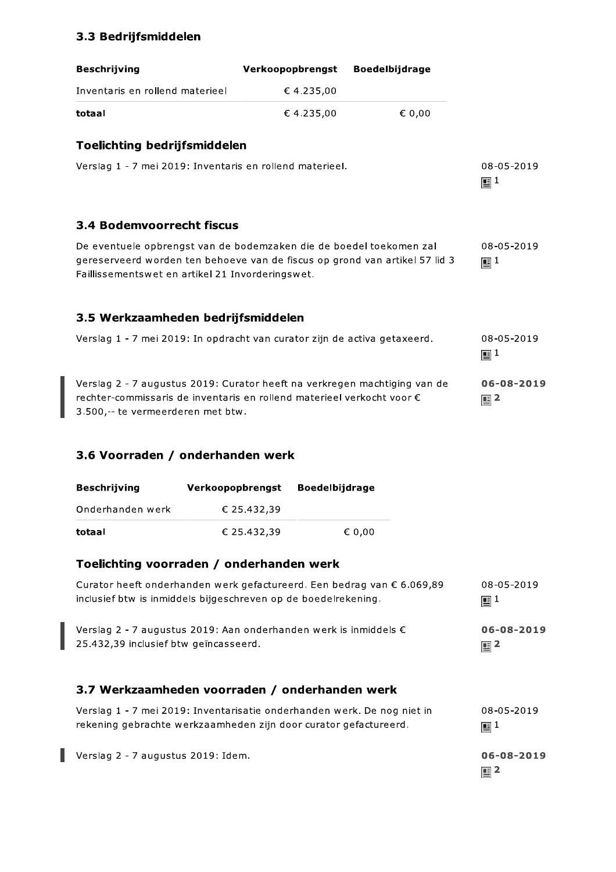# 3.3 Bedrijfsmiddelen

| <b>Beschrijving</b>                                                                                                                                                                                                      |                                                                                                                                                                                                        | Verkoopopbrengst      | <b>Boedelbijdrage</b> |                                |  |  |
|--------------------------------------------------------------------------------------------------------------------------------------------------------------------------------------------------------------------------|--------------------------------------------------------------------------------------------------------------------------------------------------------------------------------------------------------|-----------------------|-----------------------|--------------------------------|--|--|
| Inventaris en rollend materieel                                                                                                                                                                                          |                                                                                                                                                                                                        | €4.235,00             |                       |                                |  |  |
| totaal                                                                                                                                                                                                                   |                                                                                                                                                                                                        | €4.235,00             | € 0,00                |                                |  |  |
| <b>Toelichting bedrijfsmiddelen</b>                                                                                                                                                                                      |                                                                                                                                                                                                        |                       |                       |                                |  |  |
|                                                                                                                                                                                                                          | Verslag 1 - 7 mei 2019: Inventaris en rollend materieel.                                                                                                                                               |                       |                       | 08-05-2019<br>$\mathbb{E}^1$   |  |  |
| 3.4 Bodemvoorrecht fiscus                                                                                                                                                                                                |                                                                                                                                                                                                        |                       |                       |                                |  |  |
|                                                                                                                                                                                                                          | De eventuele opbrengst van de bodemzaken die de boedel toekomen zal<br>gereserveerd worden ten behoeve van de fiscus op grond van artikel 57 lid 3<br>Faillissementswet en artikel 21 Invorderingswet. |                       |                       | 08-05-2019<br>$\mathbf{E}^{1}$ |  |  |
|                                                                                                                                                                                                                          | 3.5 Werkzaamheden bedrijfsmiddelen                                                                                                                                                                     |                       |                       |                                |  |  |
|                                                                                                                                                                                                                          | Verslag 1 - 7 mei 2019: In opdracht van curator zijn de activa getaxeerd.                                                                                                                              |                       |                       | 08-05-2019<br>$\mathbb{E}^1$   |  |  |
| Verslag 2 - 7 augustus 2019: Curator heeft na verkregen machtiging van de<br>06-08-2019<br>rechter-commissaris de inventaris en rollend materieel verkocht voor €<br>$\mathbb{E}^2$<br>3.500,-- te vermeerderen met btw. |                                                                                                                                                                                                        |                       |                       |                                |  |  |
| 3.6 Voorraden / onderhanden werk                                                                                                                                                                                         |                                                                                                                                                                                                        |                       |                       |                                |  |  |
| <b>Beschrijving</b>                                                                                                                                                                                                      | Verkoopopbrengst                                                                                                                                                                                       | <b>Boedelbijdrage</b> |                       |                                |  |  |
| Onderhanden werk                                                                                                                                                                                                         | € 25.432,39                                                                                                                                                                                            |                       |                       |                                |  |  |
| totaal                                                                                                                                                                                                                   | € 25.432,39                                                                                                                                                                                            |                       | € 0,00                |                                |  |  |
|                                                                                                                                                                                                                          | Toelichting voorraden / onderhanden werk                                                                                                                                                               |                       |                       |                                |  |  |

| Curator heeft onderhanden werk gefactureerd. Een bedrag van € 6.069,89    | 08-05-2019       |
|---------------------------------------------------------------------------|------------------|
| inclusief btw is inmiddels bijgeschreven op de boedelrekening.            | $\mathbf{E}^{1}$ |
| Verslag 2 - 7 augustus 2019: Aan onderhanden werk is inmiddels $\epsilon$ | 06-08-2019       |
| 25.432.39 inclusief btw geïncasseerd.                                     | $\mathbb{E}^2$   |
| 3.7 Werkzaamheden voorraden / onderhanden werk                            |                  |

| Verslag 1 - 7 mei 2019: Inventarisatie onderhanden werk. De nog niet in | 08-05-2019     |
|-------------------------------------------------------------------------|----------------|
| rekening gebrachte werkzaamheden zijn door curator gefactureerd.        | 画1             |
| Verslag 2 - 7 augustus 2019: Idem.                                      | 06-08-2019     |
|                                                                         | $\mathbf{E}^2$ |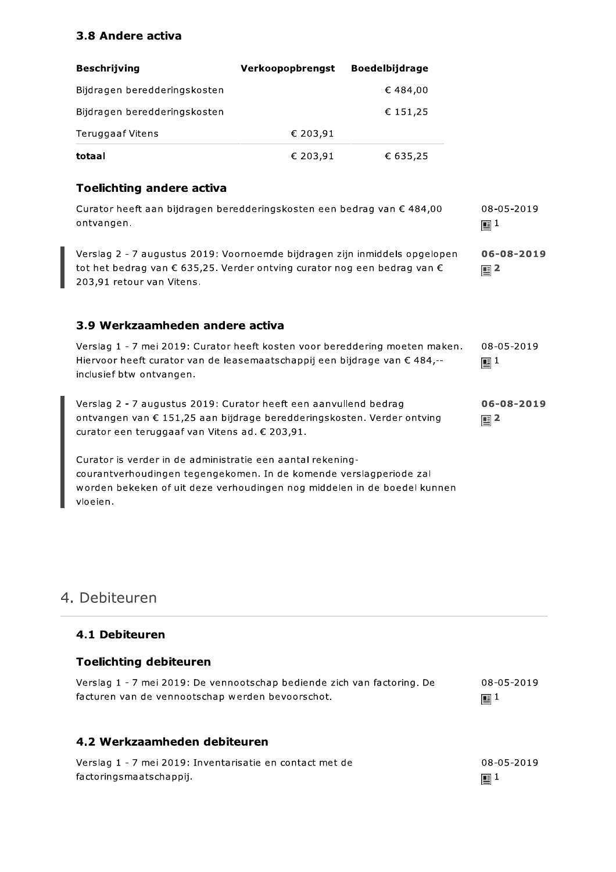#### 3.8 Andere activa

| <b>Beschrijving</b>          | Verkoopopbrengst | <b>Boedelbijdrage</b> |
|------------------------------|------------------|-----------------------|
| Bijdragen beredderingskosten |                  | € 484,00              |
| Bijdragen beredderingskosten |                  | € 151,25              |
| Teruggaaf Vitens             | € 203,91         |                       |
| totaal                       | € 203,91         | € 635,25              |

#### **Toelichting andere activa**

Curator heeft aan bijdragen beredderingskosten een bedrag van € 484,00 08-05-2019 ontvangen.  $\mathbf{E}^{1}$ 

Verslag 2 - 7 augustus 2019: Voornoemde bijdragen zijn inmiddels opgelopen 06-08-2019 tot het bedrag van € 635,25. Verder ontving curator nog een bedrag van €  $\mathbf{E}$  2 203,91 retour van Vitens.

#### 3.9 Werkzaamheden andere activa

| Verslag 1 - 7 mei 2019: Curator heeft kosten voor bereddering moeten maken.<br>Hiervoor heeft curator van de leasemaatschappij een bijdrage van € 484,--<br>inclusief btw ontvangen.         | 08-05-2019<br>$\mathbb{E}^1$       |
|----------------------------------------------------------------------------------------------------------------------------------------------------------------------------------------------|------------------------------------|
| Verslag 2 - 7 augustus 2019: Curator heeft een aanvullend bedrag<br>ontvangen van € 151,25 aan bijdrage beredderingskosten. Verder ontving<br>curator een teruggaaf van Vitens ad. € 203,91. | $06 - 08 - 2019$<br>$\mathbb{E}^2$ |

Curator is verder in de administratie een aantal rekeningcourantverhoudingen tegengekomen. In de komende verslagperiode zal worden bekeken of uit deze verhoudingen nog middelen in de boedel kunnen vloeien.

# 4. Debiteuren

#### 4.1 Debiteuren

| <b>Toelichting debiteuren</b>                                           |            |
|-------------------------------------------------------------------------|------------|
| Verslag 1 - 7 mei 2019: De vennootschap bediende zich van factoring. De | 08-05-2019 |
| facturen van de vennootschap werden bevoorschot.                        | 画1         |

#### 4.2 Werkzaamheden debiteuren

| Verslag 1 - 7 mei 2019: Inventarisatie en contact met de | 08-05-2019       |
|----------------------------------------------------------|------------------|
| factoringsmaatschappij.                                  | $\mathbb{E}^{1}$ |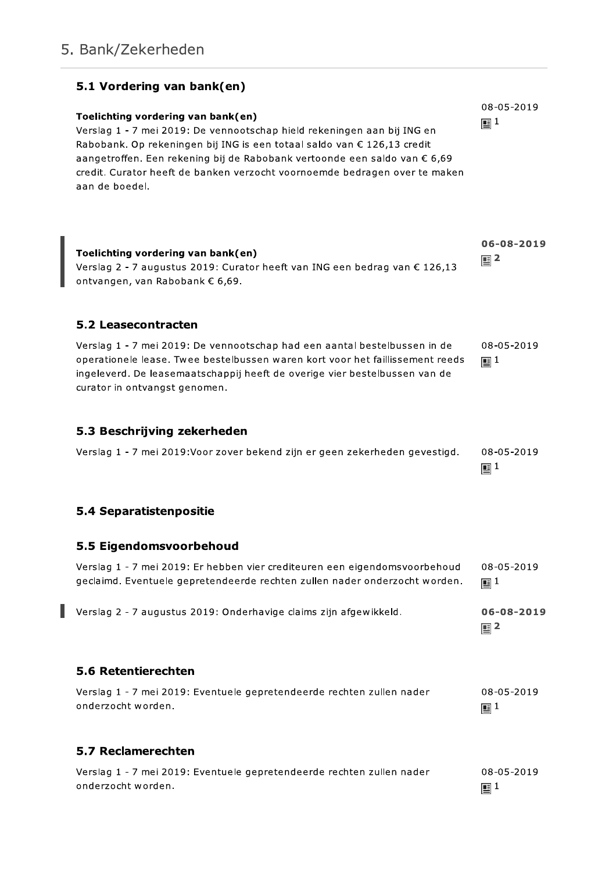| 5.1 Vordering van bank(en)<br>Toelichting vordering van bank(en)<br>Verslag 1 - 7 mei 2019: De vennootschap hield rekeningen aan bij ING en<br>Rabobank. Op rekeningen bij ING is een totaal saldo van € 126,13 credit<br>aangetroffen. Een rekening bij de Rabobank vertoonde een saldo van € 6,69<br>credit. Curator heeft de banken verzocht voornoemde bedragen over te maken<br>aan de boedel. | 08-05-2019<br>$\mathbb{E}^1$   |
|-----------------------------------------------------------------------------------------------------------------------------------------------------------------------------------------------------------------------------------------------------------------------------------------------------------------------------------------------------------------------------------------------------|--------------------------------|
| Toelichting vordering van bank(en)<br>Verslag 2 - 7 augustus 2019: Curator heeft van ING een bedrag van $\epsilon$ 126,13<br>ontvangen, van Rabobank € 6,69.                                                                                                                                                                                                                                        | 06-08-2019<br>$\mathbb{E}^2$   |
| 5.2 Leasecontracten                                                                                                                                                                                                                                                                                                                                                                                 |                                |
| Verslag 1 - 7 mei 2019: De vennootschap had een aantal bestelbussen in de<br>operationele lease. Twee bestelbussen waren kort voor het faillissement reeds<br>ingeleverd. De leasemaatschappij heeft de overige vier bestelbussen van de<br>curator in ontvangst genomen.                                                                                                                           | 08-05-2019<br>$\mathbb{E}^{1}$ |
| 5.3 Beschrijving zekerheden                                                                                                                                                                                                                                                                                                                                                                         |                                |
| Verslag 1 - 7 mei 2019: Voor zover bekend zijn er geen zekerheden gevestigd.                                                                                                                                                                                                                                                                                                                        | 08-05-2019<br>国 $1$            |
| 5.4 Separatistenpositie                                                                                                                                                                                                                                                                                                                                                                             |                                |
| 5.5 Eigendomsvoorbehoud                                                                                                                                                                                                                                                                                                                                                                             |                                |
| Verslag 1 - 7 mei 2019: Er hebben vier crediteuren een eigendomsvoorbehoud<br>geclaimd. Eventuele gepretendeerde rechten zullen nader onderzocht worden.                                                                                                                                                                                                                                            | 08-05-2019<br>$\mathbb{E}^1$   |
| Verslag 2 - 7 augustus 2019: Onderhavige claims zijn afgewikkeld.                                                                                                                                                                                                                                                                                                                                   | 06-08-2019<br>$\mathbb{E}^2$   |
| 5.6 Retentierechten                                                                                                                                                                                                                                                                                                                                                                                 |                                |
| Verslag 1 - 7 mei 2019: Eventuele gepretendeerde rechten zullen nader<br>onderzocht worden.                                                                                                                                                                                                                                                                                                         | 08-05-2019<br>$\mathbb{E}^1$   |
| 5.7 Reclamerechten                                                                                                                                                                                                                                                                                                                                                                                  |                                |
| Verslag 1 - 7 mei 2019: Eventuele gepretendeerde rechten zullen nader<br>onderzocht worden.                                                                                                                                                                                                                                                                                                         | 08-05-2019<br>$\mathbf{E}^{1}$ |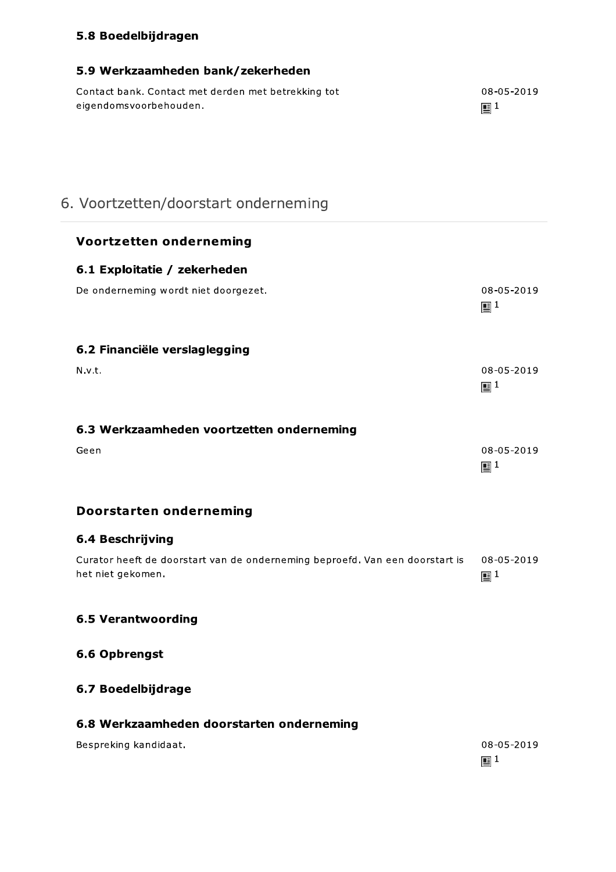### 5.8 Boedelbijdragen

5.9 Werkzaamheden bank/zekerheden

Contact bank. Contact met derden met betrekking tot

| eigendomsvoorbehouden.                                                                            | $\mathbf{E}^{1}$               |
|---------------------------------------------------------------------------------------------------|--------------------------------|
| 6. Voortzetten/doorstart onderneming                                                              |                                |
| <b>Voortzetten onderneming</b>                                                                    |                                |
| 6.1 Exploitatie / zekerheden                                                                      |                                |
| De onderneming wordt niet doorgezet.                                                              | 08-05-2019<br>$\mathbf{E}^{1}$ |
| 6.2 Financiële verslaglegging                                                                     |                                |
| N.v.t.                                                                                            | 08-05-2019<br>$\mathbf{E}^{1}$ |
| 6.3 Werkzaamheden voortzetten onderneming                                                         |                                |
| Geen                                                                                              | 08-05-2019<br>$\mathbb{E}^1$   |
| <b>Doorstarten onderneming</b>                                                                    |                                |
| <b>6.4 Beschrijving</b>                                                                           |                                |
| Curator heeft de doorstart van de onderneming beproefd. Van een doorstart is<br>het niet gekomen. | 08-05-2019<br>$\mathbb{E}^1$   |
| <b>6.5 Verantwoording</b>                                                                         |                                |
| 6.6 Opbrengst                                                                                     |                                |
| 6.7 Boedelbijdrage                                                                                |                                |
| 6.8 Werkzaamheden doorstarten onderneming                                                         |                                |
| Bespreking kandidaat.                                                                             | 08-05-2019                     |

08-05-2019

 $\mathbf{E}^1$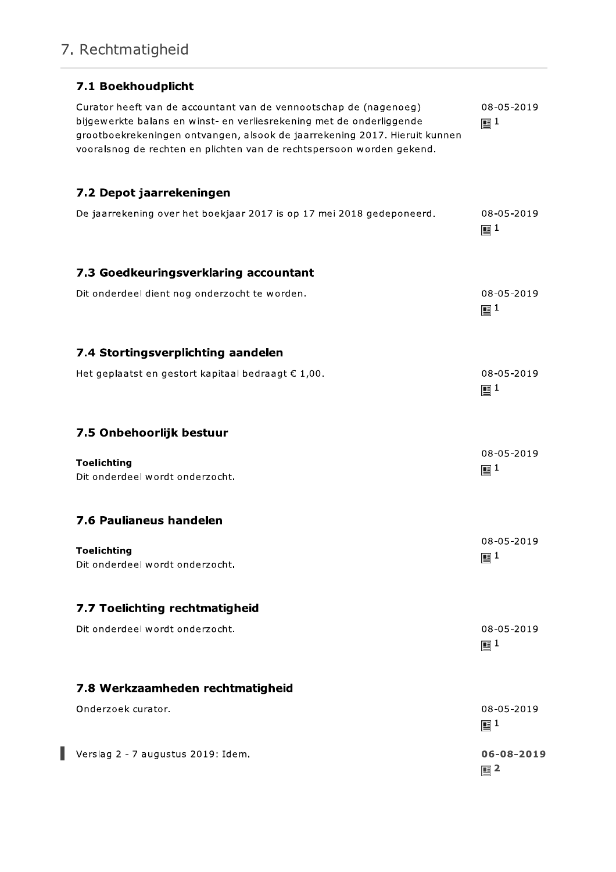# 7. Rechtmatigheid

| 7.1 Boekhoudplicht                                                                                                                                                                                                                                                                               |                                |
|--------------------------------------------------------------------------------------------------------------------------------------------------------------------------------------------------------------------------------------------------------------------------------------------------|--------------------------------|
| Curator heeft van de accountant van de vennootschap de (nagenoeg)<br>bijgewerkte balans en winst- en verliesrekening met de onderliggende<br>grootboekrekeningen ontvangen, alsook de jaarrekening 2017. Hieruit kunnen<br>vooralsnog de rechten en plichten van de rechtspersoon worden gekend. | 08-05-2019<br>$\mathbb{E}^1$   |
| 7.2 Depot jaarrekeningen                                                                                                                                                                                                                                                                         |                                |
| De jaarrekening over het boekjaar 2017 is op 17 mei 2018 gedeponeerd.                                                                                                                                                                                                                            | 08-05-2019<br>$\mathbb{E}^1$   |
| 7.3 Goedkeuringsverklaring accountant                                                                                                                                                                                                                                                            |                                |
| Dit onderdeel dient nog onderzocht te worden.                                                                                                                                                                                                                                                    | 08-05-2019<br>$\mathbb{E}^1$   |
| 7.4 Stortingsverplichting aandelen                                                                                                                                                                                                                                                               |                                |
| Het geplaatst en gestort kapitaal bedraagt € 1,00.                                                                                                                                                                                                                                               | 08-05-2019<br>$\mathbb{E}^1$   |
| 7.5 Onbehoorlijk bestuur                                                                                                                                                                                                                                                                         |                                |
| <b>Toelichting</b><br>Dit onderdeel wordt onderzocht.                                                                                                                                                                                                                                            | 08-05-2019<br>$\mathbb{E}^1$   |
| 7.6 Paulianeus handelen                                                                                                                                                                                                                                                                          |                                |
| <b>Toelichting</b><br>Dit onderdeel wordt onderzocht.                                                                                                                                                                                                                                            | 08-05-2019<br>$\mathbf{E}^{1}$ |
| 7.7 Toelichting rechtmatigheid                                                                                                                                                                                                                                                                   |                                |
| Dit onderdeel wordt onderzocht.                                                                                                                                                                                                                                                                  | 08-05-2019<br>$\mathbf{E}^{1}$ |
| 7.8 Werkzaamheden rechtmatigheid                                                                                                                                                                                                                                                                 |                                |
| Onderzoek curator.                                                                                                                                                                                                                                                                               | 08-05-2019<br>$\mathbf{E}^{1}$ |
| Verslag 2 - 7 augustus 2019: Idem.                                                                                                                                                                                                                                                               | 06-08-2019<br>$\mathbb{E}^2$   |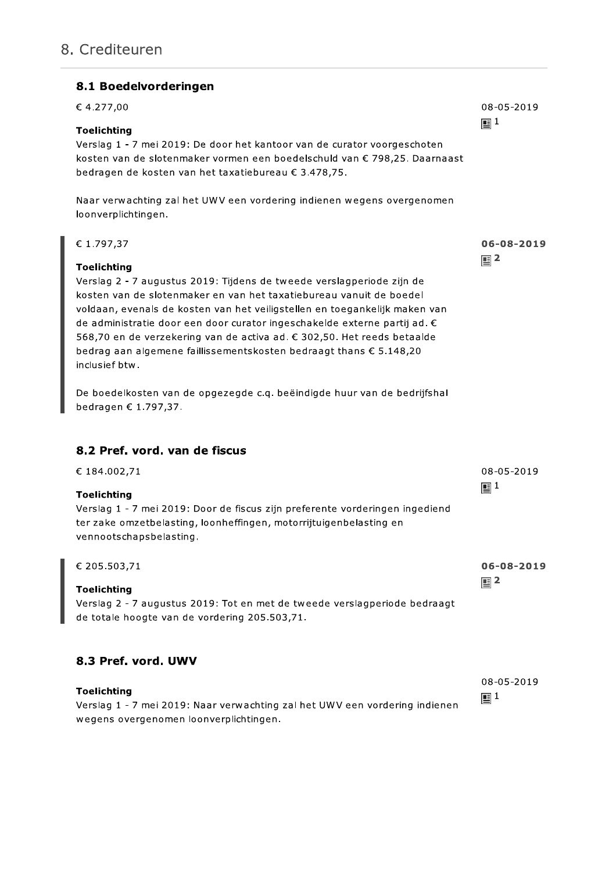#### 8.1 Boedelvorderingen

| € 4.277,00                                                                                                                                                                                                                                                                                                                                                                                                                                                                                                                                                                                 | 08-05-2019                   |
|--------------------------------------------------------------------------------------------------------------------------------------------------------------------------------------------------------------------------------------------------------------------------------------------------------------------------------------------------------------------------------------------------------------------------------------------------------------------------------------------------------------------------------------------------------------------------------------------|------------------------------|
| <b>Toelichting</b><br>Verslag 1 - 7 mei 2019: De door het kantoor van de curator voorgeschoten<br>kosten van de slotenmaker vormen een boedelschuld van € 798,25. Daarnaast<br>bedragen de kosten van het taxatiebureau € 3.478,75.                                                                                                                                                                                                                                                                                                                                                        | $\mathbb{E}^1$               |
| Naar verwachting zal het UWV een vordering indienen wegens overgenomen<br>loonverplichtingen.                                                                                                                                                                                                                                                                                                                                                                                                                                                                                              |                              |
| € 1.797,37<br><b>Toelichting</b><br>Verslag 2 - 7 augustus 2019: Tijdens de tweede verslagperiode zijn de<br>kosten van de slotenmaker en van het taxatiebureau vanuit de boedel<br>voldaan, evenals de kosten van het veiligstellen en toegankelijk maken van<br>de administratie door een door curator ingeschakelde externe partij ad. €<br>568,70 en de verzekering van de activa ad. € 302,50. Het reeds betaalde<br>bedrag aan algemene faillissementskosten bedraagt thans € 5.148,20<br>inclusief btw.<br>De boedelkosten van de opgezegde c.q. beëindigde huur van de bedrijfshal | 06-08-2019<br>$\mathbb{E}^2$ |
| bedragen € 1.797,37.<br>8.2 Pref. vord. van de fiscus<br>€ 184.002,71                                                                                                                                                                                                                                                                                                                                                                                                                                                                                                                      | 08-05-2019                   |
| <b>Toelichting</b><br>Verslag 1 - 7 mei 2019: Door de fiscus zijn preferente vorderingen ingediend<br>ter zake omzetbelasting, loonheffingen, motorrijtuigenbelasting en<br>vennootschapsbelasting.                                                                                                                                                                                                                                                                                                                                                                                        | $\mathbf{E}^{1}$             |
| € 205.503,71<br><b>Toelichting</b><br>Verslag 2 - 7 augustus 2019: Tot en met de tweede verslagperiode bedraagt<br>de totale hoogte van de vordering 205.503,71.                                                                                                                                                                                                                                                                                                                                                                                                                           | 06-08-2019<br>111            |
| 8.3 Pref. vord. UWV<br><b>Toelichting</b><br>Verslag 1 - 7 mei 2019: Naar verwachting zal het UWV een vordering indienen<br>wegens overgenomen loonverplichtingen.                                                                                                                                                                                                                                                                                                                                                                                                                         | 08-05-2019<br>$\mathbb{E}^1$ |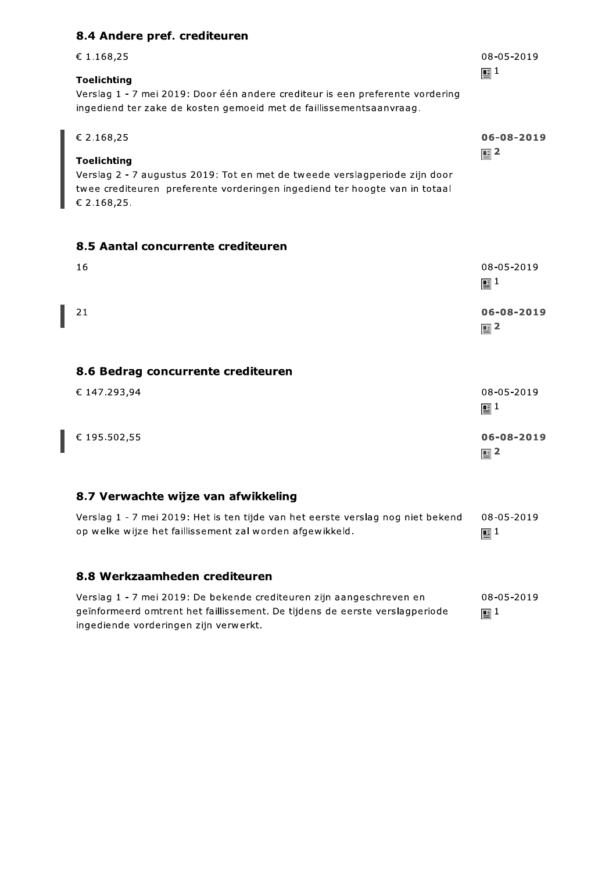#### 8.4 Andere pref. crediteuren

| € 1.168,25                                                                                                                                                                 | 08-05-2019     |
|----------------------------------------------------------------------------------------------------------------------------------------------------------------------------|----------------|
| <b>Toelichting</b><br>Verslag 1 - 7 mei 2019: Door één andere crediteur is een preferente vordering<br>ingediend ter zake de kosten gemoeid met de faillissementsaanvraag. | $\mathbb{E}^1$ |
| € 2.168,25                                                                                                                                                                 | 06-08-2019     |
| Toelichting<br>Verslag 2 - 7 augustus 2019: Tot en met de tweede verslagperiode zijn door                                                                                  | $\mathbb{E}^2$ |

twee crediteuren preferente vorderingen ingediend ter hoogte van in totaal € 2.168,25.

#### 8.5 Aantal concurrente crediteuren

| 16                                                                              | 08-05-2019<br>$\mathbf{E}^{1}$ |
|---------------------------------------------------------------------------------|--------------------------------|
| 21                                                                              | 06-08-2019<br>$\mathbb{E}^2$   |
| 8.6 Bedrag concurrente crediteuren                                              |                                |
| € 147.293,94                                                                    | 08-05-2019<br>$\mathbf{E}^{1}$ |
| € 195.502,55                                                                    | 06-08-2019<br>$\mathbb{E}^2$   |
| 8.7 Verwachte wijze van afwikkeling                                             |                                |
| Verslag 1 - 7 mei 2019: Het is ten tijde van het eerste verslag nog niet bekend | 08-05-2019                     |

#### 8.8 Werkzaamheden crediteuren

op welke wijze het faillissement zal worden afgewikkeld.

Verslag 1 - 7 mei 2019: De bekende crediteuren zijn aangeschreven en 08-05-2019 geïnformeerd omtrent het faillissement. De tijdens de eerste verslagperiode  $\mathop{\boxplus}^1$ ingediende vorderingen zijn verwerkt.

 $\mathbb{E}^1$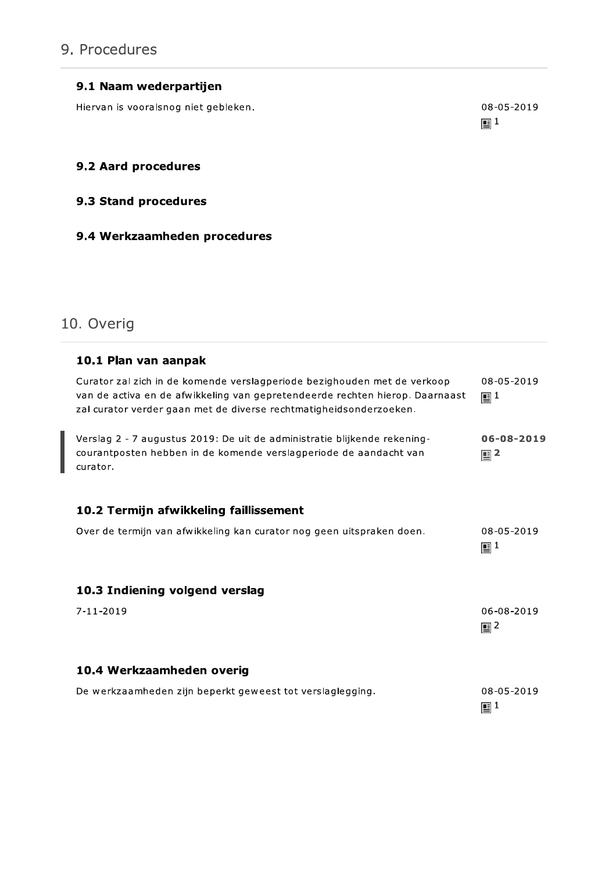# 9. Procedures

#### 9.1 Naam wederpartijen

Hiervan is vooralsnog niet gebleken.

08-05-2019  $\mathbb{E}^1$ 

#### 9.2 Aard procedures

#### 9.3 Stand procedures

#### 9.4 Werkzaamheden procedures

# 10. Overig

| 10.1 Plan van aanpak                                                                                                                                                                                                           |                                |
|--------------------------------------------------------------------------------------------------------------------------------------------------------------------------------------------------------------------------------|--------------------------------|
| Curator zal zich in de komende verslagperiode bezighouden met de verkoop<br>van de activa en de afwikkeling van gepretendeerde rechten hierop. Daarnaast<br>zal curator verder gaan met de diverse rechtmatigheidsonderzoeken. | 08-05-2019<br>$\mathbb{E}^1$   |
| Verslag 2 - 7 augustus 2019: De uit de administratie blijkende rekening-<br>courantposten hebben in de komende verslagperiode de aandacht van<br>curator.                                                                      | 06-08-2019<br>$\mathbb{E}^2$   |
| 10.2 Termijn afwikkeling faillissement                                                                                                                                                                                         |                                |
| Over de termijn van afwikkeling kan curator nog geen uitspraken doen.                                                                                                                                                          | 08-05-2019<br>$\mathbb{E}^1$   |
| 10.3 Indiening volgend verslag                                                                                                                                                                                                 |                                |
| $7 - 11 - 2019$                                                                                                                                                                                                                | 06-08-2019<br>$\mathbb{E}^2$   |
| 10.4 Werkzaamheden overig                                                                                                                                                                                                      |                                |
| De werkzaamheden zijn beperkt geweest tot verslaglegging.                                                                                                                                                                      | 08-05-2019<br>$\mathbf{E}^{1}$ |